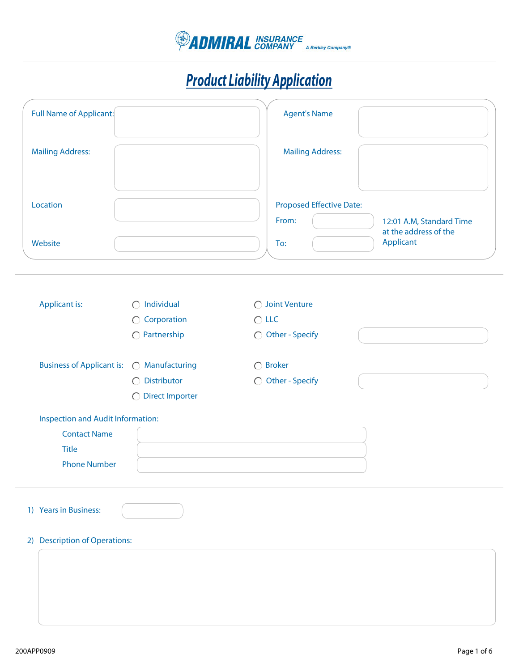

## *Product Liability Application*

| Full Name of Applicant:                                                                         |                                                                           | <b>Agent's Name</b>                                    |                                                                |
|-------------------------------------------------------------------------------------------------|---------------------------------------------------------------------------|--------------------------------------------------------|----------------------------------------------------------------|
| <b>Mailing Address:</b>                                                                         |                                                                           | <b>Mailing Address:</b>                                |                                                                |
| Location<br>Website                                                                             |                                                                           | <b>Proposed Effective Date:</b><br>From:<br>To:        | 12:01 A.M, Standard Time<br>at the address of the<br>Applicant |
| <b>Applicant is:</b>                                                                            | $\bigcirc$ Individual<br>$\bigcirc$ Corporation<br>$\bigcirc$ Partnership | ◯ Joint Venture<br>$\bigcirc$ LLC<br>◯ Other - Specify |                                                                |
| Business of Applicant is:  O Manufacturing                                                      | ◯ Distributor<br>○ Direct Importer                                        | $\bigcirc$ Broker<br>◯ Other - Specify                 |                                                                |
| Inspection and Audit Information:<br><b>Contact Name</b><br><b>Title</b><br><b>Phone Number</b> |                                                                           |                                                        |                                                                |
| 1) Years in Business:<br>2) Description of Operations:                                          |                                                                           |                                                        |                                                                |
|                                                                                                 |                                                                           |                                                        |                                                                |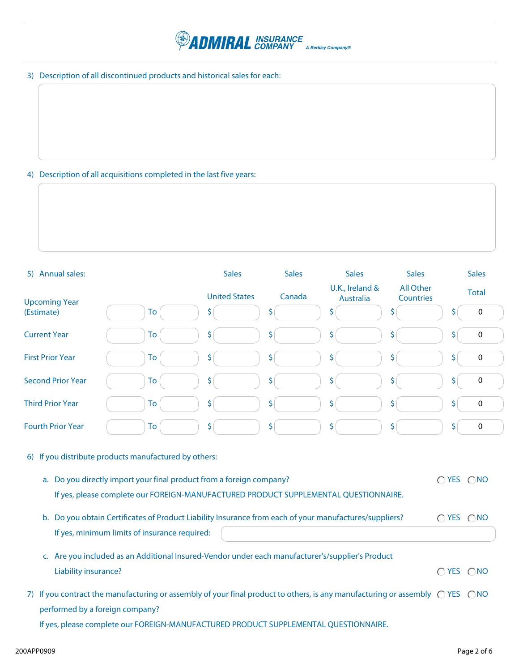

3) Description of all discontinued products and historical sales for each:

## 4) Description of all acquisitions completed in the last five years:

| 5) Annual sales:                |                                                                                                                                                                                                                                         | <b>Sales</b>         | <b>Sales</b> | <b>Sales</b>                        | <b>Sales</b>                  |    | <b>Sales</b> |
|---------------------------------|-----------------------------------------------------------------------------------------------------------------------------------------------------------------------------------------------------------------------------------------|----------------------|--------------|-------------------------------------|-------------------------------|----|--------------|
| <b>Upcoming Year</b>            |                                                                                                                                                                                                                                         | <b>United States</b> | Canada       | U.K., Ireland &<br><b>Australia</b> | <b>All Other</b><br>Countries |    | <b>Total</b> |
| (Estimate)                      | To                                                                                                                                                                                                                                      | S.                   | \$           | \$                                  | \$                            | Ś  | 0            |
| <b>Current Year</b>             | To                                                                                                                                                                                                                                      | \$                   | \$           | \$                                  | \$                            | \$ | $\pmb{0}$    |
| <b>First Prior Year</b>         | To                                                                                                                                                                                                                                      | S                    | \$           | \$                                  | \$                            | \$ | 0            |
| <b>Second Prior Year</b>        | To                                                                                                                                                                                                                                      | \$.                  | \$           | \$                                  | \$                            |    | 0            |
| <b>Third Prior Year</b>         | To                                                                                                                                                                                                                                      | \$                   | \$           | \$                                  | \$                            | \$ | $\pmb{0}$    |
| <b>Fourth Prior Year</b>        | To                                                                                                                                                                                                                                      | \$                   | \$           | \$                                  | \$.                           | S  | $\pmb{0}$    |
|                                 | 6) If you distribute products manufactured by others:<br>a. Do you directly import your final product from a foreign company?<br>If yes, please complete our FOREIGN-MANUFACTURED PRODUCT SUPPLEMENTAL QUESTIONNAIRE.                   |                      |              |                                     |                               |    | OYES ONO     |
|                                 | b. Do you obtain Certificates of Product Liability Insurance from each of your manufactures/suppliers?<br>If yes, minimum limits of insurance required:                                                                                 |                      |              |                                     |                               |    | OYES ONO     |
| Liability insurance?            | c. Are you included as an Additional Insured-Vendor under each manufacturer's/supplier's Product                                                                                                                                        |                      |              |                                     |                               |    | OYES ONO     |
| performed by a foreign company? | 7) If you contract the manufacturing or assembly of your final product to others, is any manufacturing or assembly $\bigcirc$ YES $\bigcirc$ NO<br>If yes, please complete our FOREIGN-MANUFACTURED PRODUCT SUPPLEMENTAL QUESTIONNAIRE. |                      |              |                                     |                               |    |              |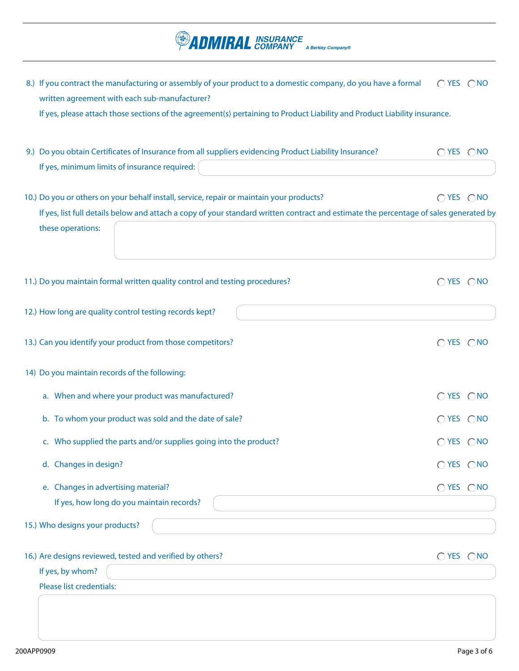11.) Do you maintain formal written quality control and testing procedures?  $\bigcap_{i=1}^{\infty}$  YES  $\bigcap_{i=1}^{\infty}$  YES  $\bigcap_{i=1}^{\infty}$ 12.) How long are quality control testing records kept? 13.) Can you identify your product from those competitors?  $\bigcirc$   $\bigcirc$   $\bigcirc$   $\bigcirc$   $\bigcirc$   $\bigcirc$   $\bigcirc$   $\bigcirc$   $\bigcirc$   $\bigcirc$   $\bigcirc$   $\bigcirc$   $\bigcirc$   $\bigcirc$   $\bigcirc$   $\bigcirc$   $\bigcirc$   $\bigcirc$   $\bigcirc$   $\bigcirc$   $\bigcirc$   $\bigcirc$   $\bigcirc$   $\bigcirc$   $\bigcirc$   $\bigcirc$   $\bigcirc$  14) Do you maintain records of the following: a. When and where your product was manufactured?  $\bigcirc$   $\bigcirc$   $\bigcirc$   $\bigcirc$   $\bigcirc$   $\bigcirc$   $\bigcirc$   $\bigcirc$   $\bigcirc$   $\bigcirc$   $\bigcirc$   $\bigcirc$   $\bigcirc$   $\bigcirc$   $\bigcirc$   $\bigcirc$   $\bigcirc$   $\bigcirc$   $\bigcirc$   $\bigcirc$   $\bigcirc$   $\bigcirc$   $\bigcirc$   $\bigcirc$   $\bigcirc$   $\bigcirc$   $\bigcirc$   $\bigcirc$   $\bigcirc$ b. To whom your product was sold and the date of sale?  $\bigcirc$   $\bigcirc$   $\bigcirc$   $\bigcirc$   $\bigcirc$   $\bigcirc$   $\bigcirc$   $\bigcirc$   $\bigcirc$   $\bigcirc$   $\bigcirc$   $\bigcirc$   $\bigcirc$   $\bigcirc$   $\bigcirc$   $\bigcirc$   $\bigcirc$   $\bigcirc$   $\bigcirc$   $\bigcirc$   $\bigcirc$   $\bigcirc$   $\bigcirc$   $\bigcirc$   $\bigcirc$   $\bigcirc$   $\bigcirc$   $\bigcirc$ c. Who supplied the parts and/or supplies going into the product?  $\bigcirc$  YES  $\bigcirc$  NO d. Changes in design? Canadian Control of the state of the state of the state of the state of the state of the state of the state of the state of the state of the state of the state of the state of the state of the state o e. Changes in advertising material?  $\bigcirc$  YES  $\bigcirc$  NO If yes, how long do you maintain records? 15.) Who designs your products? 16.) Are designs reviewed, tested and verified by others?  $\bigcirc$  and  $\bigcirc$  and  $\bigcirc$   $\bigcirc$   $\bigcirc$   $\bigcirc$   $\bigcirc$   $\bigcirc$   $\bigcirc$   $\bigcirc$   $\bigcirc$   $\bigcirc$   $\bigcirc$   $\bigcirc$   $\bigcirc$   $\bigcirc$   $\bigcirc$   $\bigcirc$   $\bigcirc$   $\bigcirc$   $\bigcirc$   $\bigcirc$   $\bigcirc$   $\bigcirc$   $\bigcirc$   $\bigcirc$ If yes, by whom? Please list credentials: 9.) Do you obtain Certificates of Insurance from all suppliers evidencing Product Liability Insurance?  $\bigcap$  YES  $\bigcap$ NO If yes, minimum limits of insurance required: 10.) Do you or others on your behalf install, service, repair or maintain your products?  $\bigcap$  YES  $\bigcap$ NO If yes, list full details below and attach a copy of your standard written contract and estimate the percentage of sales generated by these operations: If yes, please attach those sections of the agreement(s) pertaining to Product Liability and Product Liability insurance. 8.) If you contract the manufacturing or assembly of your product to a domestic company, do you have a formal written agreement with each sub-manufacturer?  $O$  YES  $O$  NO

**ADMIRAL** INSURANCE

A Berkley Company®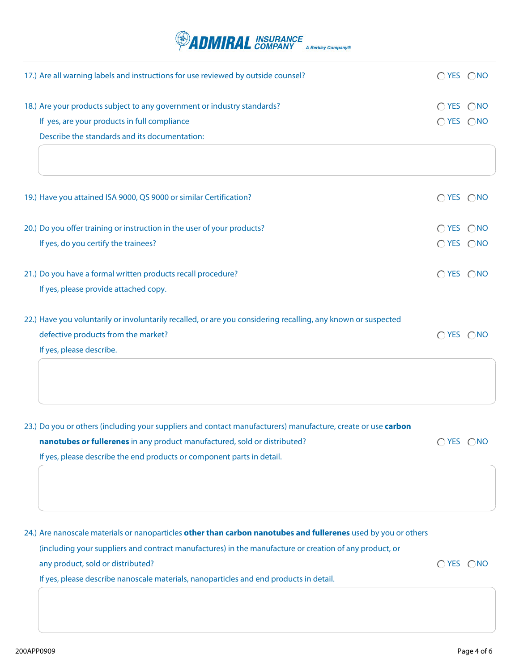| <b>ADMIRAL</b> INSURANCE<br><b>4 Berkley Company®</b>                                                         |                |  |
|---------------------------------------------------------------------------------------------------------------|----------------|--|
| 17.) Are all warning labels and instructions for use reviewed by outside counsel?                             | OYES ONO       |  |
| 18.) Are your products subject to any government or industry standards?                                       | $OYES$ $ONO$   |  |
| If yes, are your products in full compliance                                                                  | $O$ YES $O$ NO |  |
| Describe the standards and its documentation:                                                                 |                |  |
|                                                                                                               |                |  |
| 19.) Have you attained ISA 9000, QS 9000 or similar Certification?                                            | OYES ONO       |  |
| 20.) Do you offer training or instruction in the user of your products?                                       | $O$ YES $O$ NO |  |
| If yes, do you certify the trainees?                                                                          | $O$ YES $O$ NO |  |
| 21.) Do you have a formal written products recall procedure?                                                  | OYES ONO       |  |
| If yes, please provide attached copy.                                                                         |                |  |
| 22.) Have you voluntarily or involuntarily recalled, or are you considering recalling, any known or suspected |                |  |
| defective products from the market?                                                                           | OYES ONO       |  |
| If yes, please describe.                                                                                      |                |  |
|                                                                                                               |                |  |
| 23.) Do you or others (including your suppliers and contact manufacturers) manufacture, create or use carbon  |                |  |
| nanotubes or fullerenes in any product manufactured, sold or distributed?                                     | OYES ONO       |  |
| If yes, please describe the end products or component parts in detail.                                        |                |  |
|                                                                                                               |                |  |

 $O$  YES  $O$  NO 24.) Are nanoscale materials or nanoparticles **other than carbon nanotubes and fullerenes** used by you or others (including your suppliers and contract manufactures) in the manufacture or creation of any product, or any product, sold or distributed?

If yes, please describe nanoscale materials, nanoparticles and end products in detail.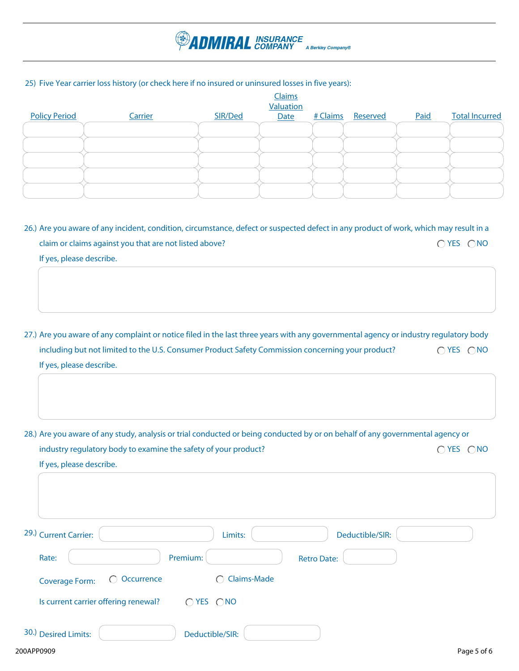

## 25) Five Year carrier loss history (or check here if no insured or uninsured losses in five years):

|                      |         |         | <b>Claims</b><br>Valuation |          |          |      |                       |
|----------------------|---------|---------|----------------------------|----------|----------|------|-----------------------|
| <b>Policy Period</b> | Carrier | SIR/Ded | Date                       | # Claims | Reserved | Paid | <b>Total Incurred</b> |
|                      |         |         |                            |          |          |      |                       |
|                      |         |         |                            |          |          |      |                       |
|                      |         |         |                            |          |          |      |                       |
|                      |         |         |                            |          |          |      |                       |
|                      |         |         |                            |          |          |      |                       |
|                      |         |         |                            |          |          |      |                       |

 $O$  YES  $O$  NO 26.) Are you aware of any incident, condition, circumstance, defect or suspected defect in any product of work, which may result in a claim or claims against you that are not listed above? If yes, please describe.

- $O$  YES  $O$  NO 27.) Are you aware of any complaint or notice filed in the last three years with any governmental agency or industry regulatory body including but not limited to the U.S. Consumer Product Safety Commission concerning your product? If yes, please describe.
- $O$  YES  $O$  NO 28.) Are you aware of any study, analysis or trial conducted or being conducted by or on behalf of any governmental agency or industry regulatory body to examine the safety of your product? If yes, please describe.

| 29.) Current Carrier:                          | Limits:                  | Deductible/SIR:    |             |
|------------------------------------------------|--------------------------|--------------------|-------------|
| Rate:                                          | Premium:                 | <b>Retro Date:</b> |             |
| $\bigcirc$ Occurrence<br><b>Coverage Form:</b> | Claims-Made<br>$\bigcap$ |                    |             |
| Is current carrier offering renewal?           | $O$ YES $O$ NO           |                    |             |
| 30.) Desired Limits:                           | Deductible/SIR:          |                    |             |
| 200APP0909                                     |                          |                    | Page 5 of 6 |